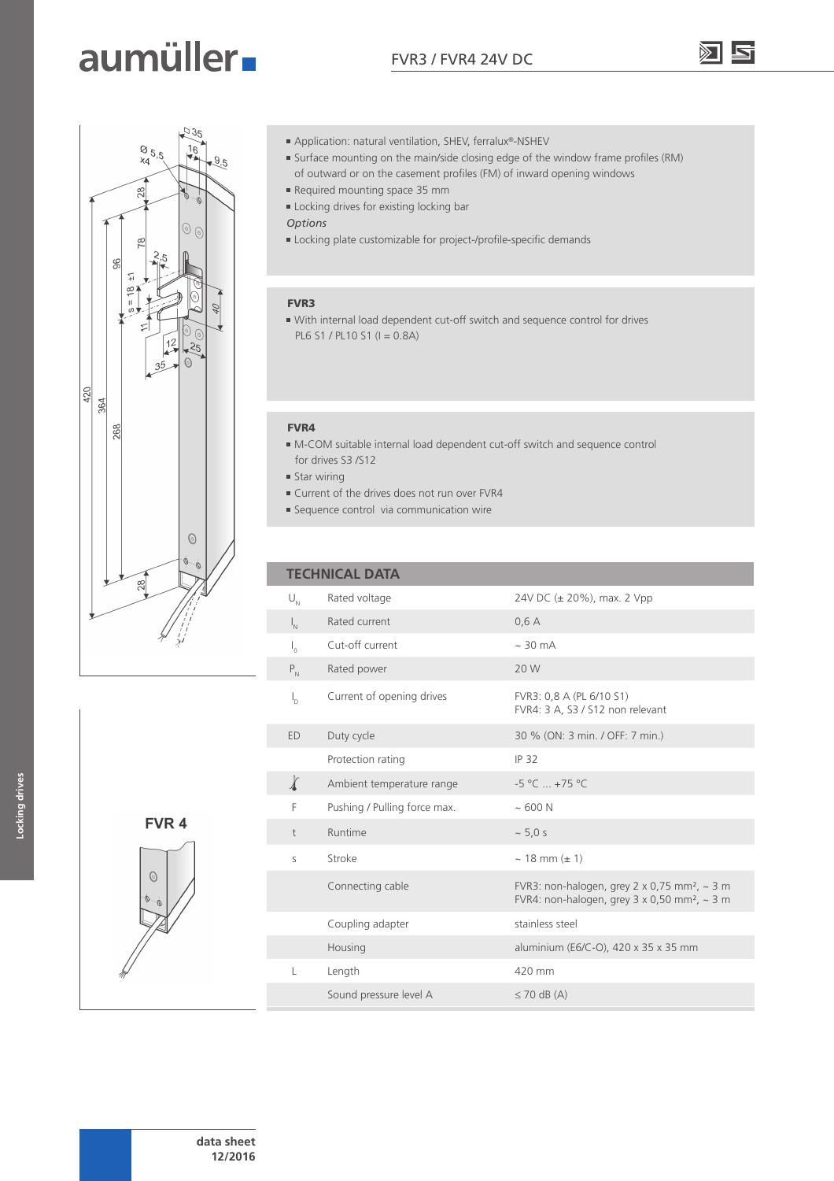## aumüller.



- Application: natural ventilation, SHEV, ferralux®-NSHEV
- Surface mounting on the main/side closing edge of the window frame profiles (RM) of outward or on the casement profiles (FM) of inward opening windows
- Required mounting space 35 mm
- Locking drives for existing locking bar
- *Options*
- Locking plate customizable for project-/profile-specific demands

#### FVR3

 With internal load dependent cut-off switch and sequence control for drives PL6 S1 / PL10 S1 (I = 0.8A)

#### FVR4

- M-COM suitable internal load dependent cut-off switch and sequence control for drives S3 /S12
- $\blacksquare$  Star wiring
- Current of the drives does not run over FVR4
- **Sequence control via communication wire**

#### **TECHNICAL DATA**

| $\bigcup\nolimits_N$      | Rated voltage                | 24V DC (± 20%), max. 2 Vpp                                                                                                              |
|---------------------------|------------------------------|-----------------------------------------------------------------------------------------------------------------------------------------|
| $\mathsf{I}_{\mathsf{N}}$ | Rated current                | 0,6A                                                                                                                                    |
| $\mathsf{I}_{\alpha}$     | Cut-off current              | $\sim$ 30 mA                                                                                                                            |
| $P_{N}$                   | Rated power                  | 20 W                                                                                                                                    |
| $I_{\rm D}$               | Current of opening drives    | FVR3: 0,8 A (PL 6/10 S1)<br>FVR4: 3 A, S3 / S12 non relevant                                                                            |
| ED.                       | Duty cycle                   | 30 % (ON: 3 min. / OFF: 7 min.)                                                                                                         |
|                           | Protection rating            | IP 32                                                                                                                                   |
| $\chi$                    | Ambient temperature range    | $-5$ °C $ + 75$ °C                                                                                                                      |
| F                         | Pushing / Pulling force max. | ~500N                                                                                                                                   |
| $\dagger$                 | Runtime                      | ~5.0 s                                                                                                                                  |
| S                         | Stroke                       | $\sim$ 18 mm ( $\pm$ 1)                                                                                                                 |
|                           | Connecting cable             | FVR3: non-halogen, grey $2 \times 0.75$ mm <sup>2</sup> , $\sim$ 3 m<br>FVR4: non-halogen, grey $3 \times 0,50$ mm <sup>2</sup> , ~ 3 m |
|                           | Coupling adapter             | stainless steel                                                                                                                         |
|                           | Housing                      | aluminium (E6/C-O), 420 x 35 x 35 mm                                                                                                    |
| L                         | Length                       | 420 mm                                                                                                                                  |
|                           | Sound pressure level A       | $\leq$ 70 dB (A)                                                                                                                        |

**Locking drives**

Locking drives

FVR 4

 $\odot$ 

**data sheet 12/2016**